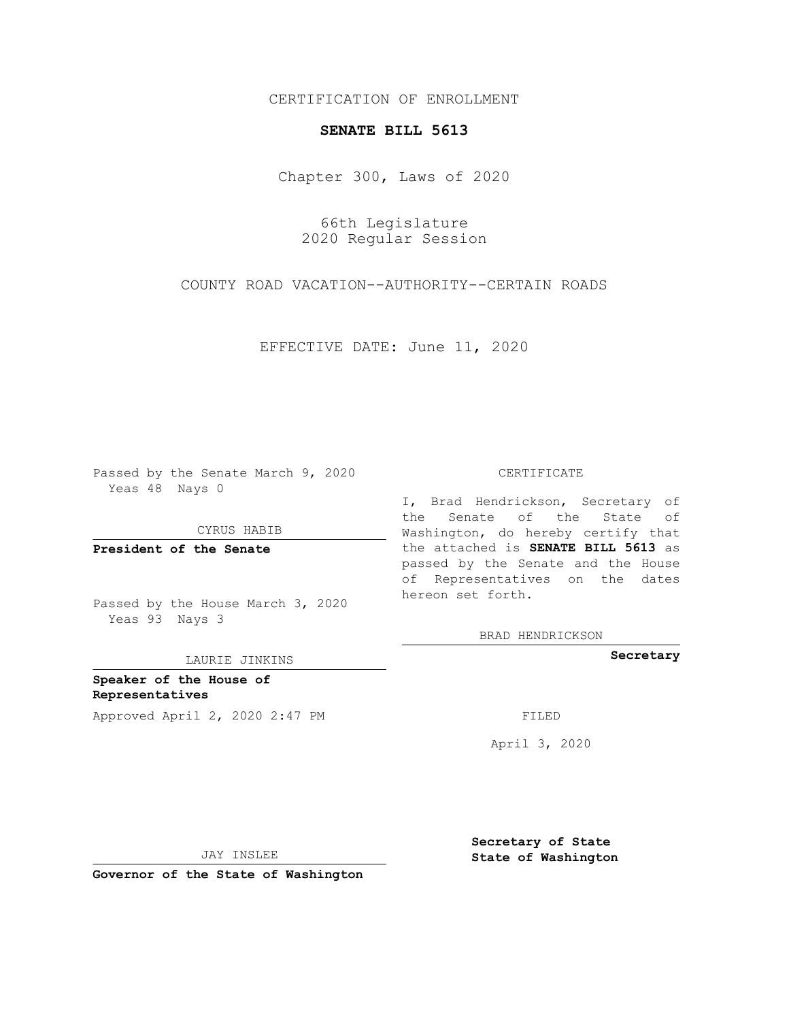CERTIFICATION OF ENROLLMENT

## **SENATE BILL 5613**

Chapter 300, Laws of 2020

66th Legislature 2020 Regular Session

COUNTY ROAD VACATION--AUTHORITY--CERTAIN ROADS

EFFECTIVE DATE: June 11, 2020

Passed by the Senate March 9, 2020 Yeas 48 Nays 0

CYRUS HABIB

**President of the Senate**

Passed by the House March 3, 2020 Yeas 93 Nays 3

LAURIE JINKINS

**Speaker of the House of Representatives** Approved April 2, 2020 2:47 PM

## CERTIFICATE

I, Brad Hendrickson, Secretary of the Senate of the State of Washington, do hereby certify that the attached is **SENATE BILL 5613** as passed by the Senate and the House of Representatives on the dates hereon set forth.

BRAD HENDRICKSON

**Secretary**

April 3, 2020

JAY INSLEE

**Governor of the State of Washington**

**Secretary of State State of Washington**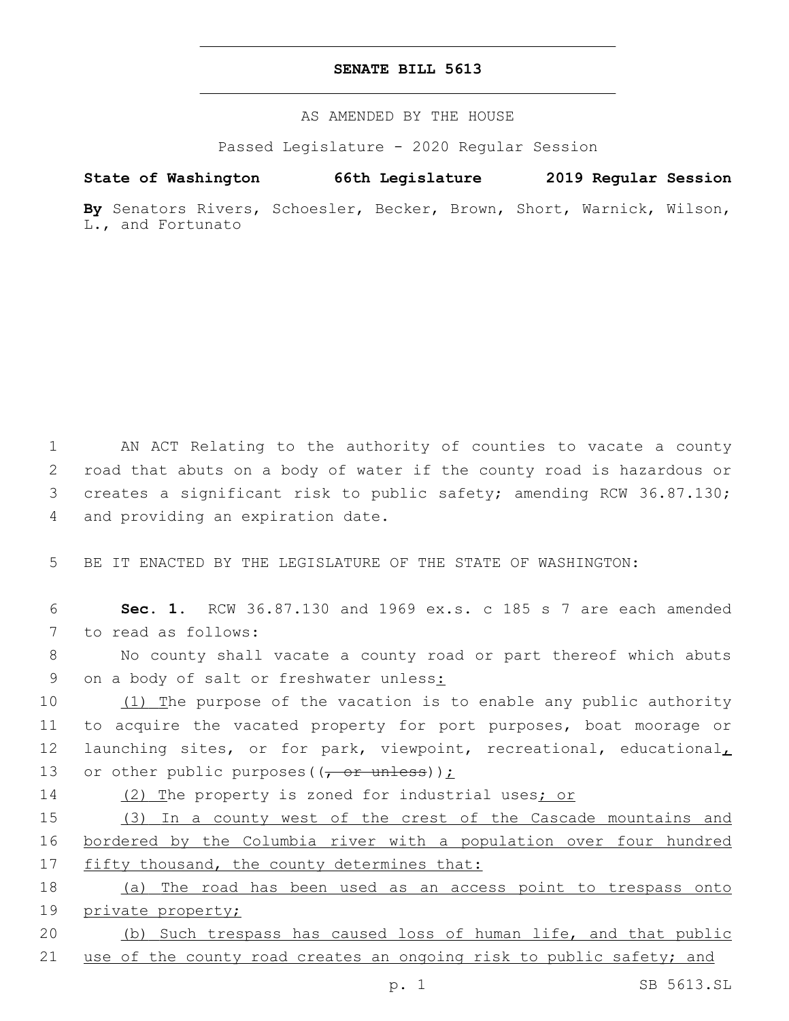## **SENATE BILL 5613**

AS AMENDED BY THE HOUSE

Passed Legislature - 2020 Regular Session

## **State of Washington 66th Legislature 2019 Regular Session**

**By** Senators Rivers, Schoesler, Becker, Brown, Short, Warnick, Wilson, L., and Fortunato

 AN ACT Relating to the authority of counties to vacate a county road that abuts on a body of water if the county road is hazardous or creates a significant risk to public safety; amending RCW 36.87.130; 4 and providing an expiration date.

5 BE IT ENACTED BY THE LEGISLATURE OF THE STATE OF WASHINGTON:

6 **Sec. 1.** RCW 36.87.130 and 1969 ex.s. c 185 s 7 are each amended 7 to read as follows:

8 No county shall vacate a county road or part thereof which abuts 9 on a body of salt or freshwater unless:

10 (1) The purpose of the vacation is to enable any public authority 11 to acquire the vacated property for port purposes, boat moorage or 12 launching sites, or for park, viewpoint, recreational, educational<sub>L</sub> 13 or other public purposes  $((\tau \text{ or } \text{unless}))$   $\geq$ 

14 (2) The property is zoned for industrial uses; or

15 (3) In a county west of the crest of the Cascade mountains and 16 bordered by the Columbia river with a population over four hundred 17 fifty thousand, the county determines that:

18 (a) The road has been used as an access point to trespass onto 19 private property;

20 (b) Such trespass has caused loss of human life, and that public 21 use of the county road creates an ongoing risk to public safety; and